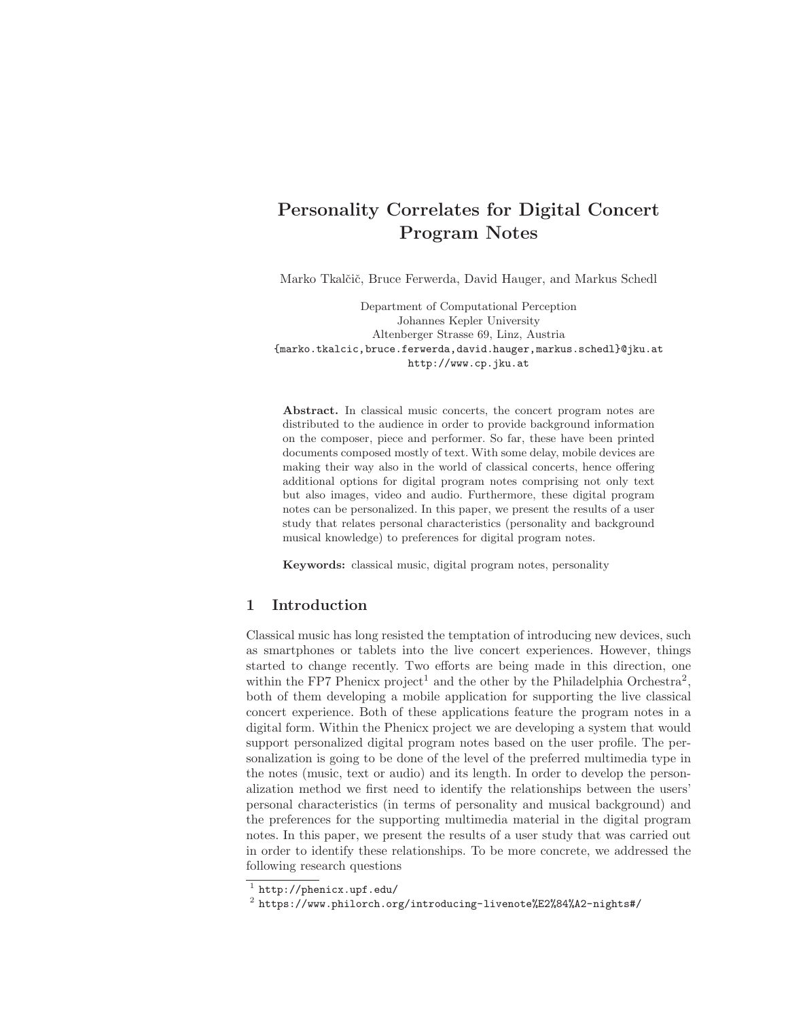# Personality Correlates for Digital Concert Program Notes

Marko Tkalčič, Bruce Ferwerda, David Hauger, and Markus Schedl

Department of Computational Perception Johannes Kepler University Altenberger Strasse 69, Linz, Austria {marko.tkalcic,bruce.ferwerda,david.hauger,markus.schedl}@jku.at http://www.cp.jku.at

Abstract. In classical music concerts, the concert program notes are distributed to the audience in order to provide background information on the composer, piece and performer. So far, these have been printed documents composed mostly of text. With some delay, mobile devices are making their way also in the world of classical concerts, hence offering additional options for digital program notes comprising not only text but also images, video and audio. Furthermore, these digital program notes can be personalized. In this paper, we present the results of a user study that relates personal characteristics (personality and background musical knowledge) to preferences for digital program notes.

Keywords: classical music, digital program notes, personality

# 1 Introduction

Classical music has long resisted the temptation of introducing new devices, such as smartphones or tablets into the live concert experiences. However, things started to change recently. Two efforts are being made in this direction, one within the FP7 Phenicx project<sup>1</sup> and the other by the Philadelphia Orchestra<sup>2</sup>, both of them developing a mobile application for supporting the live classical concert experience. Both of these applications feature the program notes in a digital form. Within the Phenicx project we are developing a system that would support personalized digital program notes based on the user profile. The personalization is going to be done of the level of the preferred multimedia type in the notes (music, text or audio) and its length. In order to develop the personalization method we first need to identify the relationships between the users' personal characteristics (in terms of personality and musical background) and the preferences for the supporting multimedia material in the digital program notes. In this paper, we present the results of a user study that was carried out in order to identify these relationships. To be more concrete, we addressed the following research questions

 $1$  http://phenicx.upf.edu/

<sup>2</sup> https://www.philorch.org/introducing-livenote%E2%84%A2-nights#/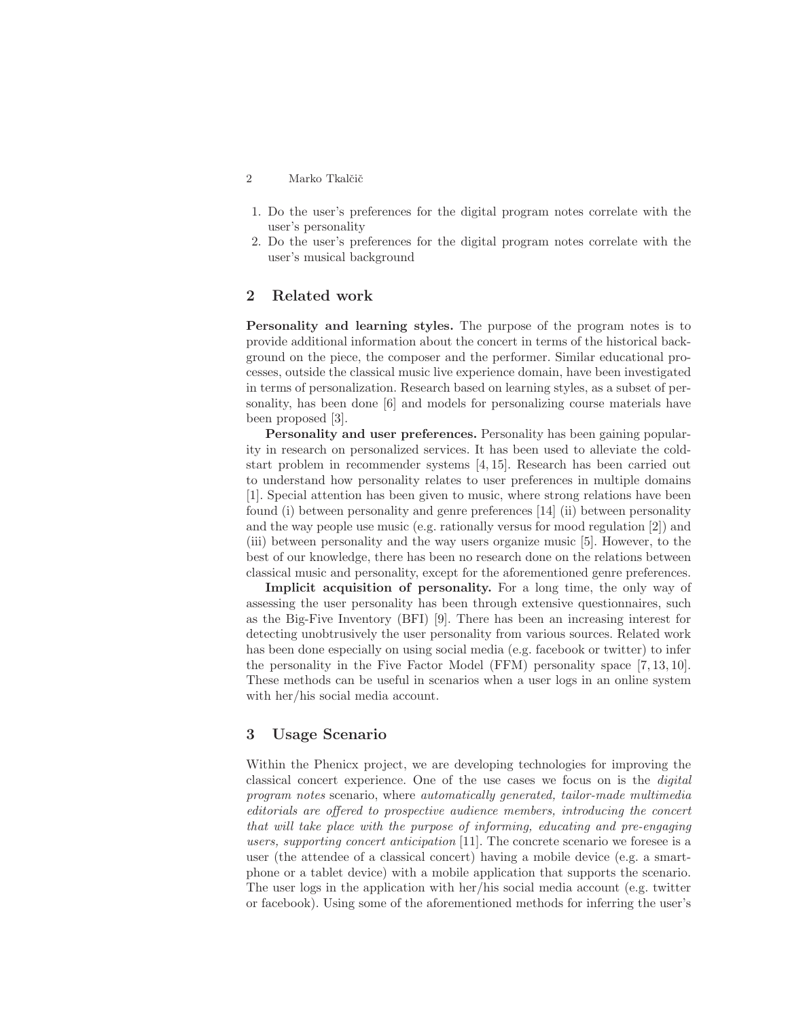#### 2 Marko Tkalčič

- 1. Do the user's preferences for the digital program notes correlate with the user's personality
- 2. Do the user's preferences for the digital program notes correlate with the user's musical background

## 2 Related work

Personality and learning styles. The purpose of the program notes is to provide additional information about the concert in terms of the historical background on the piece, the composer and the performer. Similar educational processes, outside the classical music live experience domain, have been investigated in terms of personalization. Research based on learning styles, as a subset of personality, has been done [6] and models for personalizing course materials have been proposed [3].

Personality and user preferences. Personality has been gaining popularity in research on personalized services. It has been used to alleviate the coldstart problem in recommender systems [4, 15]. Research has been carried out to understand how personality relates to user preferences in multiple domains [1]. Special attention has been given to music, where strong relations have been found (i) between personality and genre preferences [14] (ii) between personality and the way people use music (e.g. rationally versus for mood regulation [2]) and (iii) between personality and the way users organize music [5]. However, to the best of our knowledge, there has been no research done on the relations between classical music and personality, except for the aforementioned genre preferences.

Implicit acquisition of personality. For a long time, the only way of assessing the user personality has been through extensive questionnaires, such as the Big-Five Inventory (BFI) [9]. There has been an increasing interest for detecting unobtrusively the user personality from various sources. Related work has been done especially on using social media (e.g. facebook or twitter) to infer the personality in the Five Factor Model (FFM) personality space [7, 13, 10]. These methods can be useful in scenarios when a user logs in an online system with her/his social media account.

# 3 Usage Scenario

Within the Phenicx project, we are developing technologies for improving the classical concert experience. One of the use cases we focus on is the digital program notes scenario, where automatically generated, tailor-made multimedia editorials are offered to prospective audience members, introducing the concert that will take place with the purpose of informing, educating and pre-engaging users, supporting concert anticipation [11]. The concrete scenario we foresee is a user (the attendee of a classical concert) having a mobile device (e.g. a smartphone or a tablet device) with a mobile application that supports the scenario. The user logs in the application with her/his social media account (e.g. twitter or facebook). Using some of the aforementioned methods for inferring the user's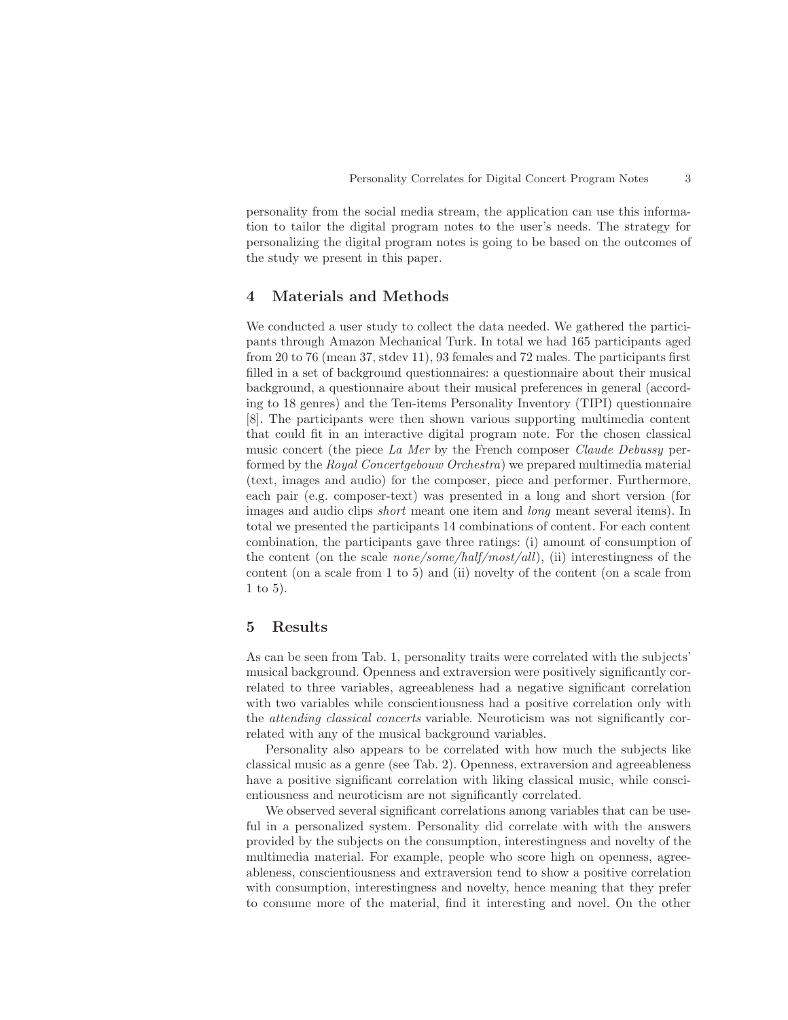personality from the social media stream, the application can use this information to tailor the digital program notes to the user's needs. The strategy for personalizing the digital program notes is going to be based on the outcomes of the study we present in this paper.

# 4 Materials and Methods

We conducted a user study to collect the data needed. We gathered the participants through Amazon Mechanical Turk. In total we had 165 participants aged from 20 to 76 (mean 37, stdev 11), 93 females and 72 males. The participants first filled in a set of background questionnaires: a questionnaire about their musical background, a questionnaire about their musical preferences in general (according to 18 genres) and the Ten-items Personality Inventory (TIPI) questionnaire [8]. The participants were then shown various supporting multimedia content that could fit in an interactive digital program note. For the chosen classical music concert (the piece La Mer by the French composer Claude Debussy performed by the Royal Concertgebouw Orchestra) we prepared multimedia material (text, images and audio) for the composer, piece and performer. Furthermore, each pair (e.g. composer-text) was presented in a long and short version (for images and audio clips *short* meant one item and *long* meant several items). In total we presented the participants 14 combinations of content. For each content combination, the participants gave three ratings: (i) amount of consumption of the content (on the scale *none/some/half/most/all*), (ii) interestingness of the content (on a scale from 1 to 5) and (ii) novelty of the content (on a scale from 1 to 5).

## 5 Results

As can be seen from Tab. 1, personality traits were correlated with the subjects' musical background. Openness and extraversion were positively significantly correlated to three variables, agreeableness had a negative significant correlation with two variables while conscientiousness had a positive correlation only with the attending classical concerts variable. Neuroticism was not significantly correlated with any of the musical background variables.

Personality also appears to be correlated with how much the subjects like classical music as a genre (see Tab. 2). Openness, extraversion and agreeableness have a positive significant correlation with liking classical music, while conscientiousness and neuroticism are not significantly correlated.

We observed several significant correlations among variables that can be useful in a personalized system. Personality did correlate with with the answers provided by the subjects on the consumption, interestingness and novelty of the multimedia material. For example, people who score high on openness, agreeableness, conscientiousness and extraversion tend to show a positive correlation with consumption, interestingness and novelty, hence meaning that they prefer to consume more of the material, find it interesting and novel. On the other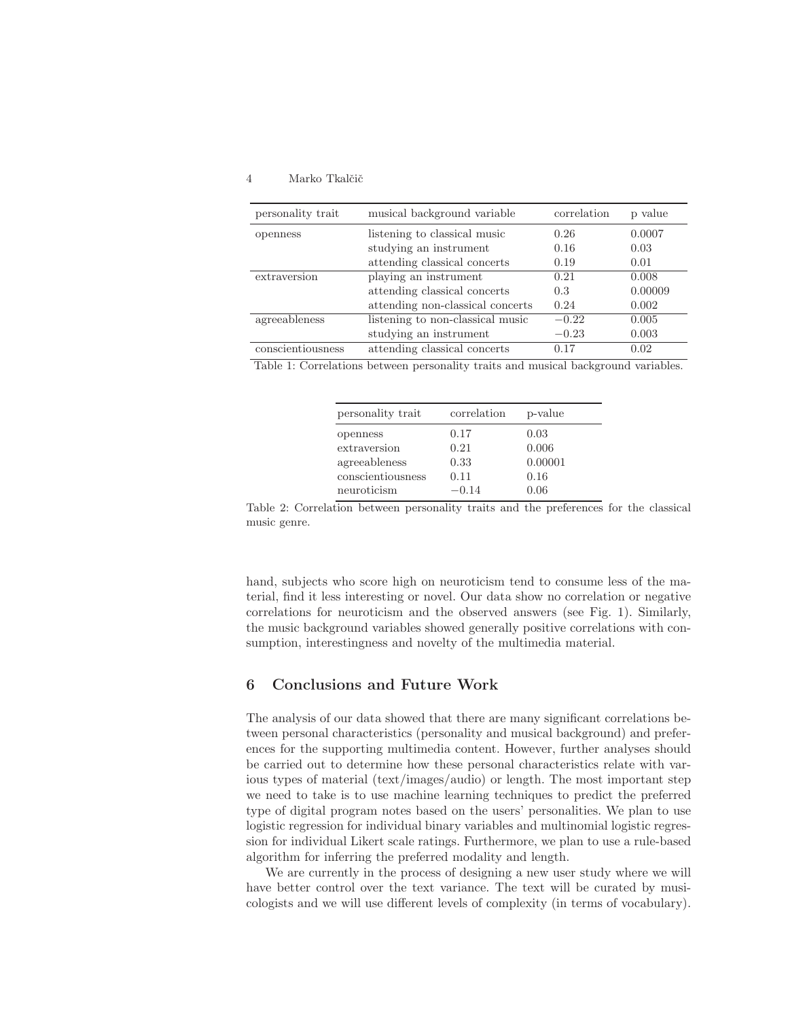#### 4 Marko Tkalčič

| personality trait | musical background variable      | correlation | p value |
|-------------------|----------------------------------|-------------|---------|
| openness          | listening to classical music     | 0.26        | 0.0007  |
|                   | studying an instrument           | 0.16        | 0.03    |
|                   | attending classical concerts     | 0.19        | 0.01    |
| extraversion      | playing an instrument            | 0.21        | 0.008   |
|                   | attending classical concerts     | 0.3         | 0.00009 |
|                   | attending non-classical concerts | 0.24        | 0.002   |
| agreeableness     | listening to non-classical music | $-0.22$     | 0.005   |
|                   | studying an instrument           | $-0.23$     | 0.003   |
| conscientiousness | attending classical concerts     | 0.17        | 0.02    |

Table 1: Correlations between personality traits and musical background variables.

| personality trait | correlation | p-value |
|-------------------|-------------|---------|
| openness          | 0.17        | 0.03    |
| extraversion      | 0.21        | 0.006   |
| agreeableness     | 0.33        | 0.00001 |
| conscientiousness | 0.11        | 0.16    |
| neuroticism       | $-0.14$     | 0.06    |

Table 2: Correlation between personality traits and the preferences for the classical music genre.

hand, subjects who score high on neuroticism tend to consume less of the material, find it less interesting or novel. Our data show no correlation or negative correlations for neuroticism and the observed answers (see Fig. 1). Similarly, the music background variables showed generally positive correlations with consumption, interestingness and novelty of the multimedia material.

### 6 Conclusions and Future Work

The analysis of our data showed that there are many significant correlations between personal characteristics (personality and musical background) and preferences for the supporting multimedia content. However, further analyses should be carried out to determine how these personal characteristics relate with various types of material (text/images/audio) or length. The most important step we need to take is to use machine learning techniques to predict the preferred type of digital program notes based on the users' personalities. We plan to use logistic regression for individual binary variables and multinomial logistic regression for individual Likert scale ratings. Furthermore, we plan to use a rule-based algorithm for inferring the preferred modality and length.

We are currently in the process of designing a new user study where we will have better control over the text variance. The text will be curated by musicologists and we will use different levels of complexity (in terms of vocabulary).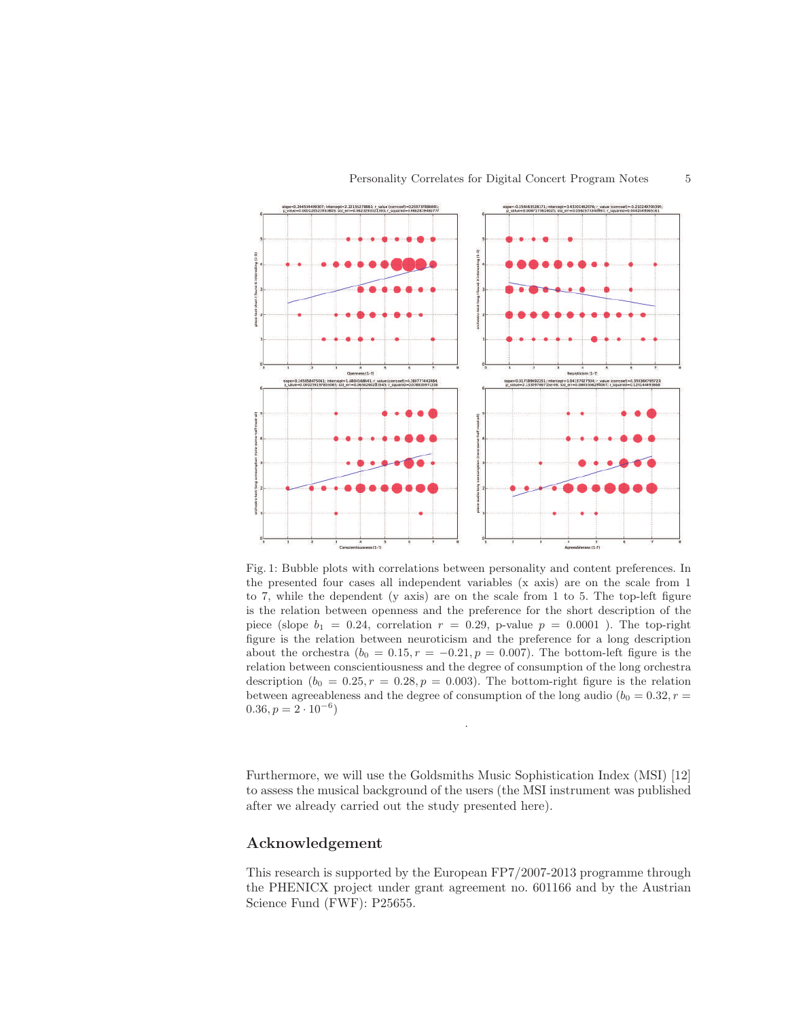

Fig. 1: Bubble plots with correlations between personality and content preferences. In the presented four cases all independent variables (x axis) are on the scale from 1 to 7, while the dependent (y axis) are on the scale from 1 to 5. The top-left figure is the relation between openness and the preference for the short description of the piece (slope  $b_1 = 0.24$ , correlation  $r = 0.29$ , p-value  $p = 0.0001$ ). The top-right figure is the relation between neuroticism and the preference for a long description about the orchestra  $(b_0 = 0.15, r = -0.21, p = 0.007)$ . The bottom-left figure is the relation between conscientiousness and the degree of consumption of the long orchestra description  $(b_0 = 0.25, r = 0.28, p = 0.003)$ . The bottom-right figure is the relation between agreeableness and the degree of consumption of the long audio ( $b_0 = 0.32, r =$  $(0.36, p = 2 \cdot 10^{-6})$ 

Furthermore, we will use the Goldsmiths Music Sophistication Index (MSI) [12] to assess the musical background of the users (the MSI instrument was published after we already carried out the study presented here).

.

# Acknowledgement

This research is supported by the European FP7/2007-2013 programme through the PHENICX project under grant agreement no. 601166 and by the Austrian Science Fund (FWF): P25655.